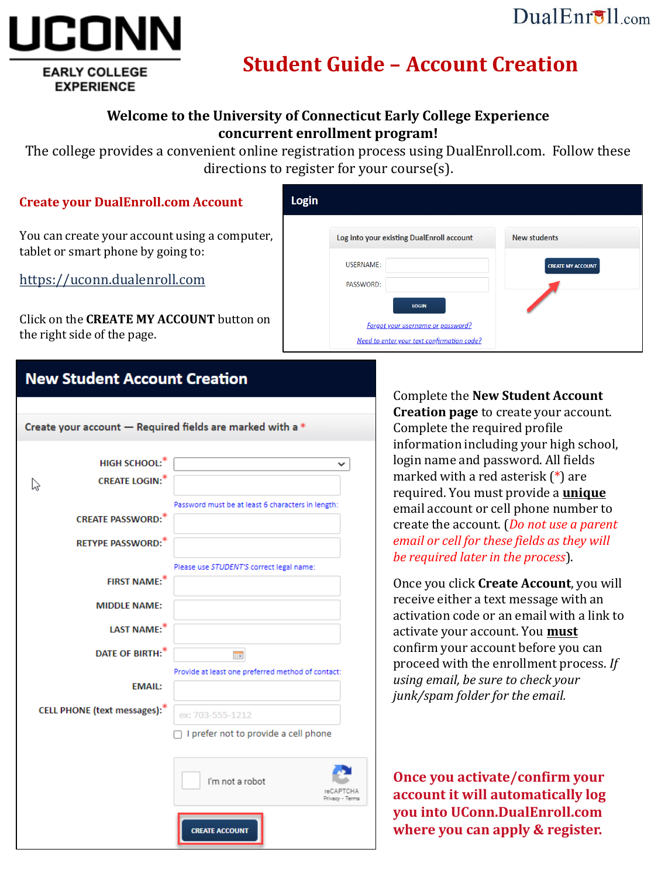## $DualErr31_{com}$

# UCON **EARLY COLLEGE**

**EXPERIENCE** 

## **Student Guide – Account Creation**

#### **Welcome to the University of Connecticut Early College Experience concurrent enrollment program!**

The college provides a convenient online registration process using DualEnroll.com. Follow these directions to register for your course(s).

#### **Create your DualEnroll.com Account**

You can create your account using a computer, tablet or smart phone by going to:

[https://uconn.dualenroll.com](https://uconn.dualenroll.com/)

Click on the **CREATE MY ACCOUNT** button on the right side of the page.

| Login |                                                          |                          |
|-------|----------------------------------------------------------|--------------------------|
|       | Log into your existing DualEnroll account                | <b>New students</b>      |
|       | <b>USERNAME:</b>                                         | <b>CREATE MY ACCOUNT</b> |
|       | PASSWORD:                                                |                          |
|       | <b>LOGIN</b><br><b>Forgot your username or password?</b> |                          |
|       | Need to enter your text confirmation code?               |                          |

## **New Student Account Creation**



Complete the **New Student Account Creation page** to create your account. Complete the required profile information including your high school, login name and password. All fields marked with a red asterisk (\*) are required. You must provide a **unique** email account or cell phone number to create the account. (*Do not use a parent email or cell for these fields as they will be required later in the process*).

Once you click **Create Account**, you will receive either a text message with an activation code or an email with a link to activate your account. You **must** confirm your account before you can proceed with the enrollment process. *If using email, be sure to check your junk/spam folder for the email.*

**Once you activate/confirm your account it will automatically log you into UConn.DualEnroll.com where you can apply & register.**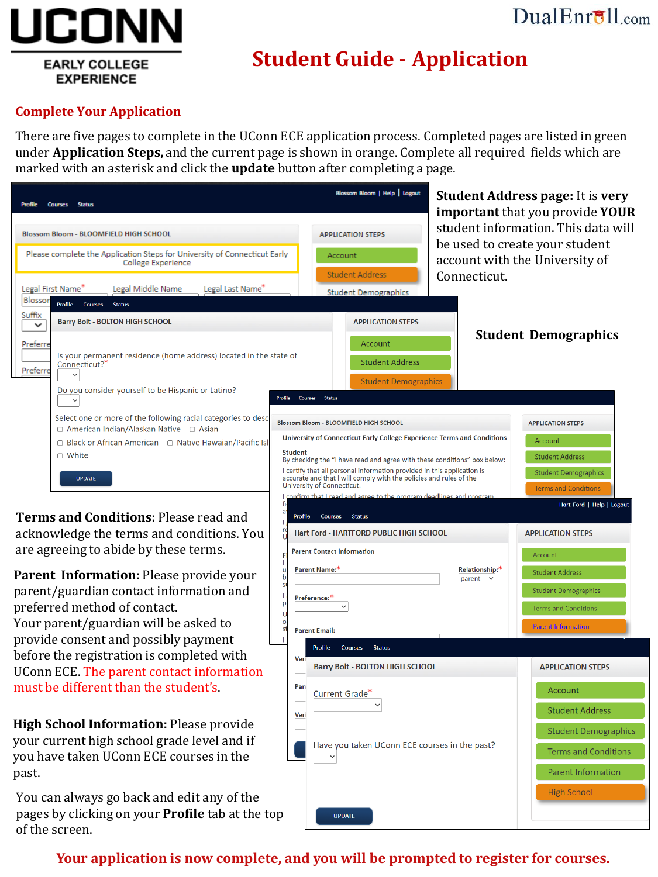# JCONN

**EARLY COLLEGE EXPERIENCE** 

## DualEnroll.com

# **Student Guide - Application**

#### **Complete Your Application**

There are five pages to complete in the UConn ECE application process. Completed pages are listed in green under **Application Steps,** and the current page is shown in orange. Complete all required fields which are marked with an asterisk and click the **update** button after completing a page.

| Profile<br><b>Courses</b><br><b>Status</b>                                                                                                                                                                                 |                           | Blassom Bloom   Help   Logout                                                                                                                                                                                                                                                                                                                                                                                                                     |                                                      | <b>Student Address page: It is very</b><br>important that you provide YOUR                                                  |
|----------------------------------------------------------------------------------------------------------------------------------------------------------------------------------------------------------------------------|---------------------------|---------------------------------------------------------------------------------------------------------------------------------------------------------------------------------------------------------------------------------------------------------------------------------------------------------------------------------------------------------------------------------------------------------------------------------------------------|------------------------------------------------------|-----------------------------------------------------------------------------------------------------------------------------|
| <b>Blossom Bloom - BLOOMFIELD HIGH SCHOOL</b>                                                                                                                                                                              |                           | <b>APPLICATION STEPS</b>                                                                                                                                                                                                                                                                                                                                                                                                                          |                                                      | student information. This data will                                                                                         |
| Please complete the Application Steps for University of Connecticut Early<br>College Experience                                                                                                                            |                           | Account                                                                                                                                                                                                                                                                                                                                                                                                                                           |                                                      | be used to create your student<br>account with the University of                                                            |
| Legal First Name<br>Legal Middle Name<br>Legal Last Name <sup>®</sup><br>Blossor<br>Profile<br>Courses<br><b>Status</b>                                                                                                    |                           | <b>Student Address</b><br><b>Student Demographics</b>                                                                                                                                                                                                                                                                                                                                                                                             | Connecticut.                                         |                                                                                                                             |
| Suffix<br><b>Barry Bolt - BOLTON HIGH SCHOOL</b><br>$\checkmark$                                                                                                                                                           |                           | <b>APPLICATION STEPS</b>                                                                                                                                                                                                                                                                                                                                                                                                                          |                                                      |                                                                                                                             |
| Preferre<br>Is your permanent residence (home address) located in the state of<br>Connecticut? <sup>*</sup><br>Preferre                                                                                                    |                           | Account<br><b>Student Address</b><br><b>Student Demographics</b>                                                                                                                                                                                                                                                                                                                                                                                  |                                                      | <b>Student Demographics</b>                                                                                                 |
| Do you consider yourself to be Hispanic or Latino?                                                                                                                                                                         | Profile<br><b>Courses</b> | <b>Status</b>                                                                                                                                                                                                                                                                                                                                                                                                                                     |                                                      |                                                                                                                             |
| Select one or more of the following racial categories to desc<br>$\Box$ American Indian/Alaskan Native $\Box$ Asian<br>$\Box$ Black or African American $\Box$ Native Hawaian/Pacific Isl<br>$\Box$ White<br><b>UPDATE</b> | <b>Student</b>            | Blossom Bloom - BLOOMFIELD HIGH SCHOOL<br>University of Connecticut Early College Experience Terms and Conditions<br>By checking the "I have read and agree with these conditions" box below:<br>I certify that all personal information provided in this application is<br>accurate and that I will comply with the policies and rules of the<br>University of Connecticut.<br>onfirm that I read and agree to the program deadlines and program |                                                      | <b>APPLICATION STEPS</b><br>Account<br><b>Student Address</b><br><b>Student Demographics</b><br><b>Terms and Conditions</b> |
| Terms and Conditions: Please read and<br>acknowledge the terms and conditions. You<br>are agreeing to abide by these terms.                                                                                                | Profile                   | <b>Courses</b><br><b>Status</b><br>Hart Ford - HARTFORD PUBLIC HIGH SCHOOL<br><b>Parent Contact Information</b>                                                                                                                                                                                                                                                                                                                                   |                                                      | Hart Ford   Help   Logout<br><b>APPLICATION STEPS</b><br>Account                                                            |
| Parent Information: Please provide your<br>parent/guardian contact information and<br>preferred method of contact.<br>Your parent/guardian will be asked to                                                                |                           | Parent Name:*<br>Preference:*<br><b>Parent Email:</b>                                                                                                                                                                                                                                                                                                                                                                                             | Relationship: <sup>*</sup><br>parent<br>$\checkmark$ | <b>Student Address</b><br><b>Student Demographics</b><br><b>Terms and Conditions</b><br><b>Parent Information</b>           |
| provide consent and possibly payment                                                                                                                                                                                       |                           | Profile<br>Courses<br><b>Status</b>                                                                                                                                                                                                                                                                                                                                                                                                               |                                                      |                                                                                                                             |
| before the registration is completed with<br>UConn ECE. The parent contact information                                                                                                                                     | Ve                        | <b>Barry Bolt - BOLTON HIGH SCHOOL</b>                                                                                                                                                                                                                                                                                                                                                                                                            |                                                      | <b>APPLICATION STEPS</b>                                                                                                    |
| must be different than the student's                                                                                                                                                                                       | Par                       | Current Grade <sup>®</sup>                                                                                                                                                                                                                                                                                                                                                                                                                        |                                                      | Account                                                                                                                     |
|                                                                                                                                                                                                                            | Ver                       |                                                                                                                                                                                                                                                                                                                                                                                                                                                   |                                                      | <b>Student Address</b>                                                                                                      |
| High School Information: Please provide<br>your current high school grade level and if                                                                                                                                     |                           |                                                                                                                                                                                                                                                                                                                                                                                                                                                   |                                                      | <b>Student Demographics</b>                                                                                                 |
| you have taken UConn ECE courses in the                                                                                                                                                                                    |                           | Have you taken UConn ECE courses in the past?                                                                                                                                                                                                                                                                                                                                                                                                     |                                                      | <b>Terms and Conditions</b>                                                                                                 |
| past.                                                                                                                                                                                                                      |                           |                                                                                                                                                                                                                                                                                                                                                                                                                                                   |                                                      | Parent Information                                                                                                          |
| You can always go back and edit any of the                                                                                                                                                                                 |                           |                                                                                                                                                                                                                                                                                                                                                                                                                                                   |                                                      | <b>High School</b>                                                                                                          |
| pages by clicking on your <b>Profile</b> tab at the top<br>of the screen.                                                                                                                                                  |                           | <b>UPDATE</b>                                                                                                                                                                                                                                                                                                                                                                                                                                     |                                                      |                                                                                                                             |

#### **Your application is now complete, and you will be prompted to register for courses.**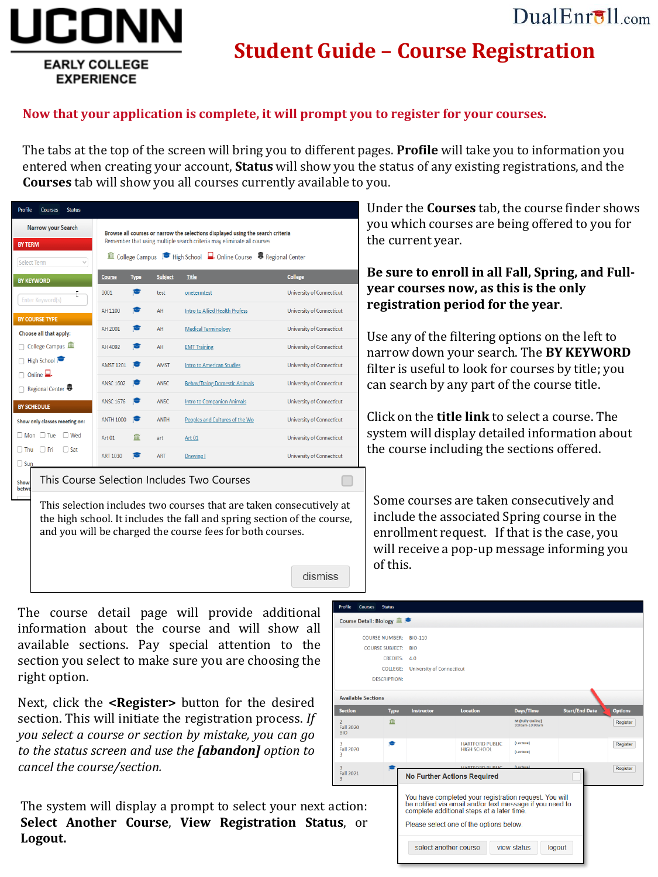## $DualErr31_{com}$

# JCONN **EARLY COLLEGE**

**EXPERIENCE** 

## **Student Guide – Course Registration**

#### **Now that your application is complete, it will prompt you to register for your courses.**

The tabs at the top of the screen will bring you to different pages. **Profile** will take you to information you entered when creating your account, **Status** will show you the status of any existing registrations, and the **Courses** tab will show you all courses currently available to you.

| <b>Profile</b><br><b>Status</b><br><b>Courses</b> |                  |             |                |                                                                                                                                                           |                           |
|---------------------------------------------------|------------------|-------------|----------------|-----------------------------------------------------------------------------------------------------------------------------------------------------------|---------------------------|
| Narrow your Search<br><b>BY TERM</b>              |                  |             |                | Browse all courses or narrow the selections displayed using the search criteria<br>Remember that using multiple search criteria may eliminate all courses |                           |
| Select Term<br>$\checkmark$                       |                  |             |                | <b>a</b> College Campus Figh School Q. Online Course St Regional Center                                                                                   |                           |
| <b>BY KEYWORD</b>                                 | <b>Course</b>    | <b>Type</b> | <b>Subject</b> | <b>Title</b>                                                                                                                                              | <b>College</b>            |
| Ŧ.<br>Enter Keyword(s)                            | 0001             |             | test           | onetermtest                                                                                                                                               | University of Connecticut |
| <b>BY COURSE TYPE</b>                             | AH 1100          | м           | AH             | Intro to Allied Health Profess                                                                                                                            | University of Connecticut |
| Choose all that apply:                            | AH 2001          |             | AH             | <b>Medical Terminology</b>                                                                                                                                | University of Connecticut |
| College Campus                                    | AH 4092          |             | AH             | <b>EMT Training</b>                                                                                                                                       | University of Connecticut |
| High School                                       | <b>AMST 1201</b> |             | <b>AMST</b>    | <b>Intro to American Studies</b>                                                                                                                          | University of Connecticut |
| Online $\Box$ .<br>Regional Center 5              | <b>ANSC 1602</b> |             | ANSC.          | <b>Behav/Traing Domestic Animals</b>                                                                                                                      | University of Connecticut |
| <b>BY SCHEDULE</b>                                | <b>ANSC 1676</b> |             | ANSC.          | Intro to Companion Animals                                                                                                                                | University of Connecticut |
| Show only classes meeting on:                     | <b>ANTH 1000</b> |             | <b>ANTH</b>    | Peoples and Cultures of the Wo                                                                                                                            | University of Connecticut |
| $\Box$ Mon $\Box$ Tue<br>Wed                      | Art 01           | filit       | art            | Art 01                                                                                                                                                    | University of Connecticut |
| <b>DEri</b><br>$\Box$ Sat<br>l Thu<br>$\Box$ Sun  | ART 1030         |             | <b>ART</b>     | Drawing I                                                                                                                                                 | University of Connecticut |
| Show<br>betwe                                     |                  |             |                | This Course Selection Includes Two Courses                                                                                                                |                           |
|                                                   |                  |             |                | This soloction includes two sources that are taken sonsecutively at                                                                                       |                           |

Under the **Courses** tab, the course finder shows you which courses are being offered to you for the current year.

**Be sure to enroll in all Fall, Spring, and Fullyear courses now, as this is the only registration period for the year**.

Use any of the filtering options on the left to narrow down your search. The **BY KEYWORD** filter is useful to look for courses by title; you can search by any part of the course title.

Click on the **title link** to select a course. The system will display detailed information about the course including the sections offered.

This selection includes two courses that are taken consecutively at the high school. It includes the fall and spring section of the course, and you will be charged the course fees for both courses.

dismiss

Some courses are taken consecutively and include the associated Spring course in the enrollment request. If that is the case, you will receive a pop-up message informing you of this.

The course detail page will provide additional information about the course and will show all available sections. Pay special attention to the section you select to make sure you are choosing the right option.

Next, click the **<Register>** button for the desired section. This will initiate the registration process. *If you select a course or section by mistake, you can go to the status screen and use the [abandon] option to cancel the course/section.*

The system will display a prompt to select your next a **Select Another Course, View Registration Status Logout.**

| <b>Profile</b><br><b>Courses</b><br><b>Status</b>               |                                    |                                                                                                                                                                                                             |                                    |                       |                |
|-----------------------------------------------------------------|------------------------------------|-------------------------------------------------------------------------------------------------------------------------------------------------------------------------------------------------------------|------------------------------------|-----------------------|----------------|
| Course Detail: Biology                                          |                                    |                                                                                                                                                                                                             |                                    |                       |                |
| <b>COURSE NUMBER:</b>                                           | <b>BIO-110</b>                     |                                                                                                                                                                                                             |                                    |                       |                |
| <b>COURSE SUBJECT:</b>                                          | <b>RIO</b>                         |                                                                                                                                                                                                             |                                    |                       |                |
|                                                                 |                                    |                                                                                                                                                                                                             |                                    |                       |                |
|                                                                 | CREDITS: 4.0                       |                                                                                                                                                                                                             |                                    |                       |                |
| <b>COLLEGE:</b>                                                 | <b>University of Connecticut</b>   |                                                                                                                                                                                                             |                                    |                       |                |
| <b>DESCRIPTION:</b>                                             |                                    |                                                                                                                                                                                                             |                                    |                       |                |
| <b>Available Sections</b>                                       |                                    |                                                                                                                                                                                                             |                                    |                       |                |
| <b>Section</b><br><b>Type</b>                                   | <b>Instructor</b>                  | Location                                                                                                                                                                                                    | Days/Time                          | <b>Start/End Date</b> | <b>Options</b> |
| m<br>$\overline{\phantom{a}}$<br><b>Fall 2020</b><br><b>RIO</b> |                                    |                                                                                                                                                                                                             | M (Fully Online)<br>9:00am-10:00am |                       | Register       |
| 3<br><b>Fall 2020</b><br>R                                      |                                    | <b>HARTFORD PUBLIC</b><br><b>HIGH SCHOOL</b>                                                                                                                                                                | (Lecture)<br>(Lecture)             |                       | Register       |
| R                                                               |                                    | <b>HARTEORD BURLIC</b>                                                                                                                                                                                      | (Lecture)                          |                       | Register       |
| <b>Fall 2021</b><br>я                                           | <b>No Further Actions Required</b> |                                                                                                                                                                                                             |                                    |                       |                |
| ction:<br>IS,<br>or                                             | select another course              | You have completed your registration request. You will<br>be notified via email and/or text message if you need to<br>complete additional steps at a later time.<br>Please select one of the options below: | view status                        | logout                |                |